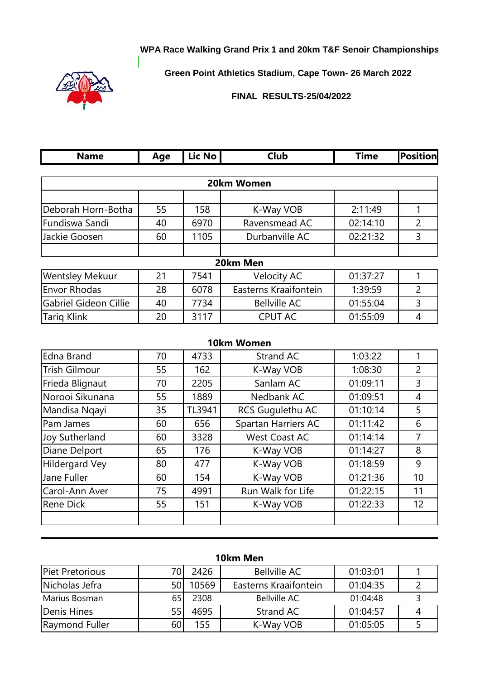## **WPA Race Walking Grand Prix 1 and 20km T&F Senoir Championships**



**Green Point Athletics Stadium, Cape Town- 26 March 2022**

## **FINAL RESULTS-25/04/2022**

| <b>Name</b>                  | Age | Lic No | Club                  | <b>Time</b> | <b>Position</b> |
|------------------------------|-----|--------|-----------------------|-------------|-----------------|
|                              |     |        |                       |             |                 |
|                              |     |        | 20km Women            |             |                 |
|                              |     |        |                       |             |                 |
| Deborah Horn-Botha           | 55  | 158    | K-Way VOB             | 2:11:49     |                 |
| Fundiswa Sandi               | 40  | 6970   | Ravensmead AC         | 02:14:10    | 2               |
| Jackie Goosen                | 60  | 1105   | Durbanville AC        | 02:21:32    | 3               |
|                              |     |        |                       |             |                 |
|                              |     |        | 20km Men              |             |                 |
| <b>Wentsley Mekuur</b>       | 21  | 7541   | <b>Velocity AC</b>    | 01:37:27    |                 |
| <b>Envor Rhodas</b>          | 28  | 6078   | Easterns Kraaifontein | 1:39:59     | $\overline{2}$  |
| <b>Gabriel Gideon Cillie</b> | 40  | 7734   | <b>Bellville AC</b>   | 01:55:04    | 3               |
| <b>Tariq Klink</b>           | 20  | 3117   | <b>CPUT AC</b>        | 01:55:09    | 4               |

|                       |    |        | 10km Women           |          |                   |
|-----------------------|----|--------|----------------------|----------|-------------------|
| Edna Brand            | 70 | 4733   | Strand AC            | 1:03:22  | 1                 |
| <b>Trish Gilmour</b>  | 55 | 162    | K-Way VOB            | 1:08:30  | $\overline{2}$    |
| Frieda Blignaut       | 70 | 2205   | Sanlam AC            | 01:09:11 | 3                 |
| Norooi Sikunana       | 55 | 1889   | Nedbank AC           | 01:09:51 | 4                 |
| Mandisa Ngayi         | 35 | TL3941 | RCS Gugulethu AC     | 01:10:14 | 5                 |
| Pam James             | 60 | 656    | Spartan Harriers AC  | 01:11:42 | 6                 |
| Joy Sutherland        | 60 | 3328   | <b>West Coast AC</b> | 01:14:14 | $\overline{7}$    |
| Diane Delport         | 65 | 176    | K-Way VOB            | 01:14:27 | 8                 |
| <b>Hildergard Vey</b> | 80 | 477    | K-Way VOB            | 01:18:59 | 9                 |
| Jane Fuller           | 60 | 154    | K-Way VOB            | 01:21:36 | 10                |
| Carol-Ann Aver        | 75 | 4991   | Run Walk for Life    | 01:22:15 | 11                |
| <b>Rene Dick</b>      | 55 | 151    | K-Way VOB            | 01:22:33 | $12 \overline{ }$ |
|                       |    |        |                      |          |                   |

| 10km Men        |     |       |                       |          |  |  |  |
|-----------------|-----|-------|-----------------------|----------|--|--|--|
| Piet Pretorious |     | 2426  | <b>Bellville AC</b>   | 01:03:01 |  |  |  |
| Nicholas Jefra  | 50l | 10569 | Easterns Kraaifontein | 01:04:35 |  |  |  |
| Marius Bosman   | 65  | 2308  | <b>Bellville AC</b>   | 01:04:48 |  |  |  |
| Denis Hines     | 55  | 4695  | Strand AC             | 01:04:57 |  |  |  |
| Raymond Fuller  | 601 | 155   | K-Way VOB             | 01:05:05 |  |  |  |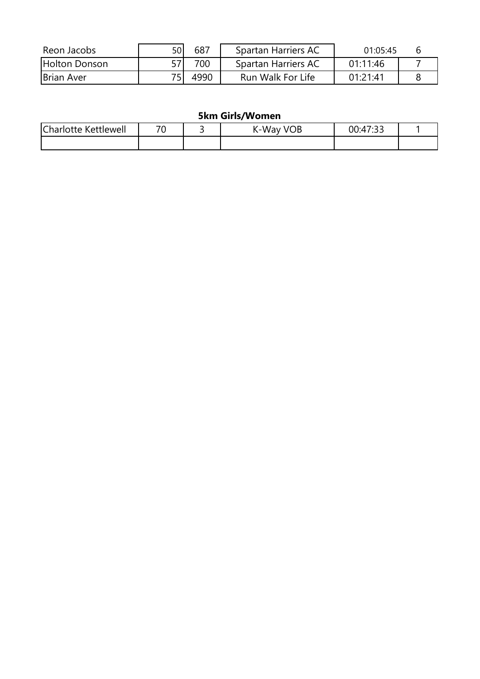| 57<br>700<br><b>Holton Donson</b><br>01:11:46<br>Spartan Harriers AC | 01.05.45 | Spartan Harriers AC | 687  | 50 | Reon Jacobs       |
|----------------------------------------------------------------------|----------|---------------------|------|----|-------------------|
|                                                                      |          |                     |      |    |                   |
|                                                                      | 01:21:41 | Run Walk For Life   | 4990 |    | <b>Brian Aver</b> |

## **5km Girls/Women**

| $\sim$<br>$\cdot$<br>kettlewell<br>.harlotte<br>к | 70 | <b>VOB</b><br>.-Wav<br>יי | $\sim$<br>דו<br>00<br>۱∙⊿<br><br>. |  |
|---------------------------------------------------|----|---------------------------|------------------------------------|--|
|                                                   |    |                           |                                    |  |